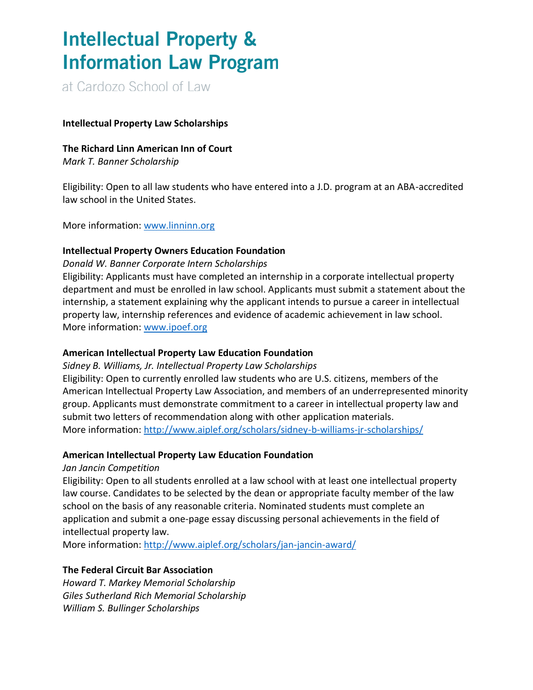# **Intellectual Property & Information Law Program**

at Cardozo School of Law

#### **Intellectual Property Law Scholarships**

#### **The Richard Linn American Inn of Court**

*Mark T. Banner Scholarship*

Eligibility: Open to all law students who have entered into a J.D. program at an ABA-accredited law school in the United States.

More information: [www.linninn.org](http://www.linninn.org/)

#### **Intellectual Property Owners Education Foundation**

#### *Donald W. Banner Corporate Intern Scholarships*

Eligibility: Applicants must have completed an internship in a corporate intellectual property department and must be enrolled in law school. Applicants must submit a statement about the internship, a statement explaining why the applicant intends to pursue a career in intellectual property law, internship references and evidence of academic achievement in law school. More information: [www.ipoef.org](http://www.ipoef.org/)

### **American Intellectual Property Law Education Foundation**

*Sidney B. Williams, Jr. Intellectual Property Law Scholarships*

Eligibility: Open to currently enrolled law students who are U.S. citizens, members of the American Intellectual Property Law Association, and members of an underrepresented minority group. Applicants must demonstrate commitment to a career in intellectual property law and submit two letters of recommendation along with other application materials. More information: <http://www.aiplef.org/scholars/sidney-b-williams-jr-scholarships/>

### **American Intellectual Property Law Education Foundation**

#### *Jan Jancin Competition*

Eligibility: Open to all students enrolled at a law school with at least one intellectual property law course. Candidates to be selected by the dean or appropriate faculty member of the law school on the basis of any reasonable criteria. Nominated students must complete an application and submit a one-page essay discussing personal achievements in the field of intellectual property law.

More information: <http://www.aiplef.org/scholars/jan-jancin-award/>

### **The Federal Circuit Bar Association**

*Howard T. Markey Memorial Scholarship Giles Sutherland Rich Memorial Scholarship William S. Bullinger Scholarships*